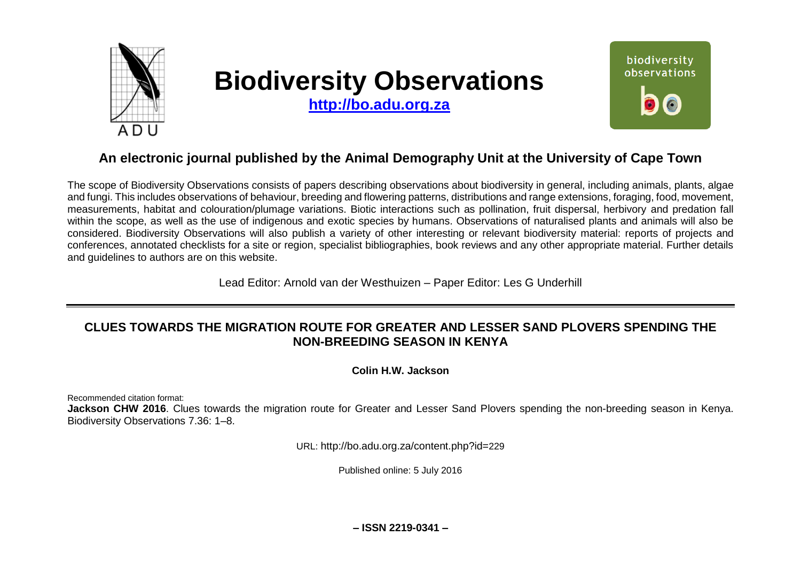

# **Biodiversity Observations**

**[http://bo.adu.org.za](http://bo.adu.org.za/)**



# **An electronic journal published by the Animal Demography Unit at the University of Cape Town**

The scope of Biodiversity Observations consists of papers describing observations about biodiversity in general, including animals, plants, algae and fungi. This includes observations of behaviour, breeding and flowering patterns, distributions and range extensions, foraging, food, movement, measurements, habitat and colouration/plumage variations. Biotic interactions such as pollination, fruit dispersal, herbivory and predation fall within the scope, as well as the use of indigenous and exotic species by humans. Observations of naturalised plants and animals will also be considered. Biodiversity Observations will also publish a variety of other interesting or relevant biodiversity material: reports of projects and conferences, annotated checklists for a site or region, specialist bibliographies, book reviews and any other appropriate material. Further details and guidelines to authors are on this website.

Lead Editor: Arnold van der Westhuizen – Paper Editor: Les G Underhill

# **CLUES TOWARDS THE MIGRATION ROUTE FOR GREATER AND LESSER SAND PLOVERS SPENDING THE NON-BREEDING SEASON IN KENYA**

**Colin H.W. Jackson**

Recommended citation format:

**Jackson CHW 2016**. Clues towards the migration route for Greater and Lesser Sand Plovers spending the non-breeding season in Kenya. Biodiversity Observations 7.36: 1–8.

URL: http://bo.adu.org.za/content.php?id=229

Published online: 5 July 2016

**– ISSN 2219-0341 –**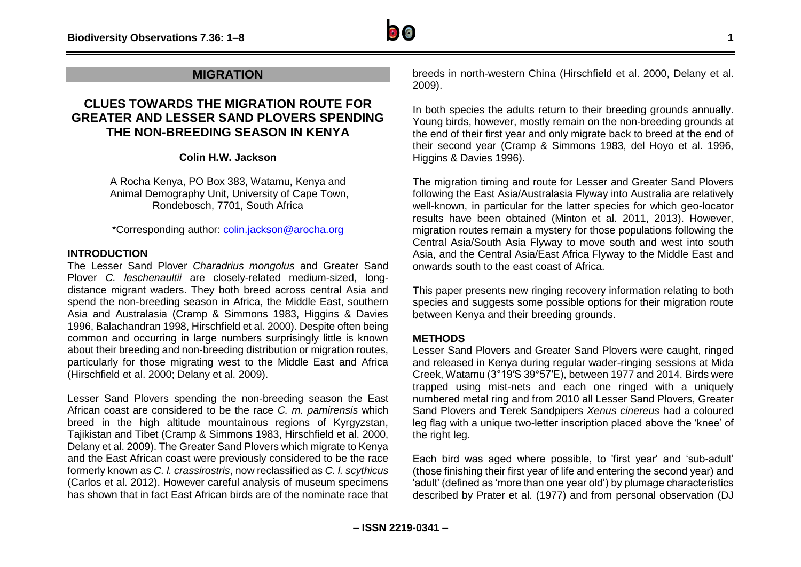

# **MIGRATION**

# **CLUES TOWARDS THE MIGRATION ROUTE FOR GREATER AND LESSER SAND PLOVERS SPENDING THE NON-BREEDING SEASON IN KENYA**

### **Colin H.W. Jackson**

A Rocha Kenya, PO Box 383, Watamu, Kenya and Animal Demography Unit, University of Cape Town, Rondebosch, 7701, South Africa

\*Corresponding author: [colin.jackson@arocha.org](mailto:colin.jackson@arocha.org)

## **INTRODUCTION**

The Lesser Sand Plover *Charadrius mongolus* and Greater Sand Plover *C. leschenaultii* are closely-related medium-sized, longdistance migrant waders. They both breed across central Asia and spend the non-breeding season in Africa, the Middle East, southern Asia and Australasia (Cramp & Simmons 1983, Higgins & Davies 1996, Balachandran 1998, Hirschfield et al. 2000). Despite often being common and occurring in large numbers surprisingly little is known about their breeding and non-breeding distribution or migration routes, particularly for those migrating west to the Middle East and Africa (Hirschfield et al. 2000; Delany et al. 2009).

Lesser Sand Plovers spending the non-breeding season the East African coast are considered to be the race *C. m. pamirensis* which breed in the high altitude mountainous regions of Kyrgyzstan, Tajikistan and Tibet (Cramp & Simmons 1983, Hirschfield et al. 2000, Delany et al. 2009). The Greater Sand Plovers which migrate to Kenya and the East African coast were previously considered to be the race formerly known as *C. l. crassirostris*, now reclassified as *C. l. scythicus* (Carlos et al. 2012). However careful analysis of museum specimens has shown that in fact East African birds are of the nominate race that breeds in north-western China (Hirschfield et al. 2000, Delany et al. 2009).

In both species the adults return to their breeding grounds annually. Young birds, however, mostly remain on the non-breeding grounds at the end of their first year and only migrate back to breed at the end of their second year (Cramp & Simmons 1983, del Hoyo et al. 1996, Higgins & Davies 1996).

The migration timing and route for Lesser and Greater Sand Plovers following the East Asia/Australasia Flyway into Australia are relatively well-known, in particular for the latter species for which geo-locator results have been obtained (Minton et al. 2011, 2013). However, migration routes remain a mystery for those populations following the Central Asia/South Asia Flyway to move south and west into south Asia, and the Central Asia/East Africa Flyway to the Middle East and onwards south to the east coast of Africa.

This paper presents new ringing recovery information relating to both species and suggests some possible options for their migration route between Kenya and their breeding grounds.

## **METHODS**

Lesser Sand Plovers and Greater Sand Plovers were caught, ringed and released in Kenya during regular wader-ringing sessions at Mida Creek, Watamu (3°19′S 39°57′E), between 1977 and 2014. Birds were trapped using mist-nets and each one ringed with a uniquely numbered metal ring and from 2010 all Lesser Sand Plovers, Greater Sand Plovers and Terek Sandpipers *Xenus cinereus* had a coloured leg flag with a unique two-letter inscription placed above the 'knee' of the right leg.

Each bird was aged where possible, to 'first year' and 'sub-adult' (those finishing their first year of life and entering the second year) and 'adult' (defined as 'more than one year old') by plumage characteristics described by Prater et al. (1977) and from personal observation (DJ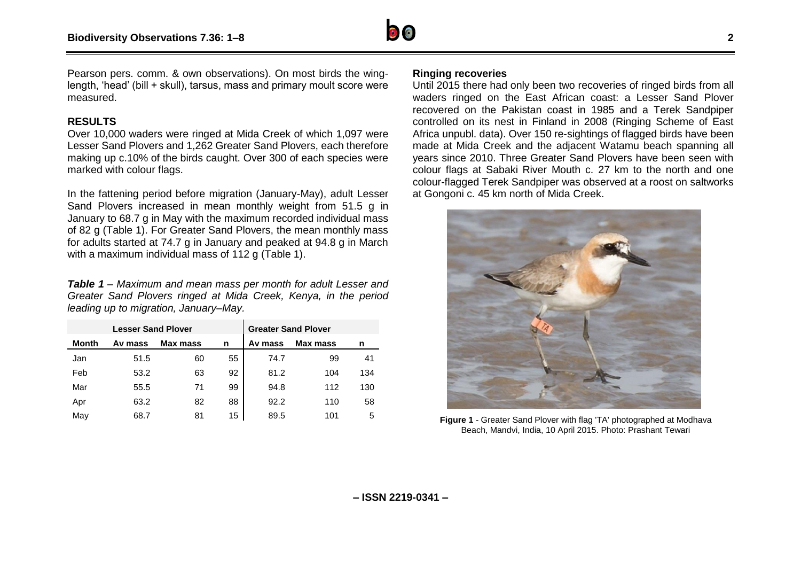

Pearson pers. comm. & own observations). On most birds the winglength, 'head' (bill + skull), tarsus, mass and primary moult score were measured.

## **RESULTS**

Over 10,000 waders were ringed at Mida Creek of which 1,097 were Lesser Sand Plovers and 1,262 Greater Sand Plovers, each therefore making up c.10% of the birds caught. Over 300 of each species were marked with colour flags.

In the fattening period before migration (January-May), adult Lesser Sand Plovers increased in mean monthly weight from 51.5 g in January to 68.7 g in May with the maximum recorded individual mass of 82 g (Table 1). For Greater Sand Plovers, the mean monthly mass for adults started at 74.7 g in January and peaked at 94.8 g in March with a maximum individual mass of 112 g (Table 1).

*Table 1 – Maximum and mean mass per month for adult Lesser and Greater Sand Plovers ringed at Mida Creek, Kenya, in the period leading up to migration, January–May.*

| <b>Lesser Sand Plover</b> |         |          |    | <b>Greater Sand Plover</b> |          |     |
|---------------------------|---------|----------|----|----------------------------|----------|-----|
| Month                     | Av mass | Max mass | n  | Av mass                    | Max mass | n   |
| Jan                       | 51.5    | 60       | 55 | 74.7                       | 99       | 41  |
| Feb                       | 53.2    | 63       | 92 | 81.2                       | 104      | 134 |
| Mar                       | 55.5    | 71       | 99 | 94.8                       | 112      | 130 |
| Apr                       | 63.2    | 82       | 88 | 92.2                       | 110      | 58  |
| May                       | 68.7    | 81       | 15 | 89.5                       | 101      | 5   |

#### **Ringing recoveries**

Until 2015 there had only been two recoveries of ringed birds from all waders ringed on the East African coast: a Lesser Sand Plover recovered on the Pakistan coast in 1985 and a Terek Sandpiper controlled on its nest in Finland in 2008 (Ringing Scheme of East Africa unpubl. data). Over 150 re-sightings of flagged birds have been made at Mida Creek and the adjacent Watamu beach spanning all years since 2010. Three Greater Sand Plovers have been seen with colour flags at Sabaki River Mouth c. 27 km to the north and one colour-flagged Terek Sandpiper was observed at a roost on saltworks at Gongoni c. 45 km north of Mida Creek.



**Figure 1** - Greater Sand Plover with flag 'TA' photographed at Modhava Beach, Mandvi, India, 10 April 2015. Photo: Prashant Tewari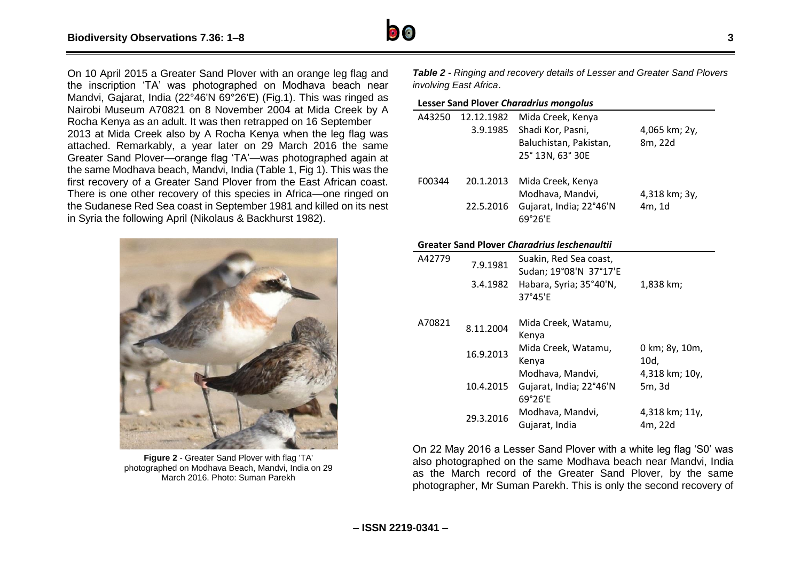

On 10 April 2015 a Greater Sand Plover with an orange leg flag and the inscription 'TA' was photographed on Modhava beach near Mandvi, Gajarat, India (22°46'N 69°26'E) (Fig.1). This was ringed as Nairobi Museum A70821 on 8 November 2004 at Mida Creek by A Rocha Kenya as an adult. It was then retrapped on 16 September 2013 at Mida Creek also by A Rocha Kenya when the leg flag was attached. Remarkably, a year later on 29 March 2016 the same Greater Sand Plover—orange flag 'TA'—was photographed again at the same Modhava beach, Mandvi, India (Table 1, Fig 1). This was the first recovery of a Greater Sand Plover from the East African coast. There is one other recovery of this species in Africa—one ringed on the Sudanese Red Sea coast in September 1981 and killed on its nest in Syria the following April (Nikolaus & Backhurst 1982).



**Figure 2** - Greater Sand Plover with flag 'TA' photographed on Modhava Beach, Mandvi, India on 29 March 2016. Photo: Suman Parekh

*Table 2 - Ringing and recovery details of Lesser and Greater Sand Plovers involving East Africa*.

#### **Lesser Sand Plover** *Charadrius mongolus*

| A43250 | 12.12.1982 | Mida Creek, Kenya           |                    |  |
|--------|------------|-----------------------------|--------------------|--|
|        | 3.9.1985   | Shadi Kor, Pasni,           | 4,065 km; 2y,      |  |
|        |            | Baluchistan, Pakistan,      | 8m, 22d            |  |
|        |            | 25° 13N, 63° 30E            |                    |  |
|        |            |                             |                    |  |
| F00344 |            | 20.1.2013 Mida Creek, Kenya |                    |  |
|        |            | Modhava, Mandvi,            | $4,318$ km; $3y$ , |  |
|        | 22.5.2016  | Gujarat, India; 22°46'N     | 4m, 1d             |  |
|        |            | 69°26'F                     |                    |  |

#### **Greater Sand Plover** *Charadrius leschenaultii*

| A42779 | 7.9.1981  | Suakin, Red Sea coast,<br>Sudan; 19°08'N 37°17'E       |                           |
|--------|-----------|--------------------------------------------------------|---------------------------|
|        | 3.4.1982  | Habara, Syria; 35°40'N,<br>37°45'E                     | 1,838 km;                 |
| A70821 | 8.11.2004 | Mida Creek, Watamu,<br>Kenya                           |                           |
|        | 16.9.2013 | Mida Creek, Watamu,<br>Kenya                           | 0 km; 8y, 10m,<br>10d,    |
|        | 10.4.2015 | Modhava, Mandvi,<br>Gujarat, India; 22°46'N<br>69°26'F | 4,318 km; 10y,<br>5m, 3d  |
|        | 29.3.2016 | Modhava, Mandvi,<br>Gujarat, India                     | 4,318 km; 11y,<br>4m, 22d |

On 22 May 2016 a Lesser Sand Plover with a white leg flag 'S0' was also photographed on the same Modhava beach near Mandvi, India as the March record of the Greater Sand Plover, by the same photographer, Mr Suman Parekh. This is only the second recovery of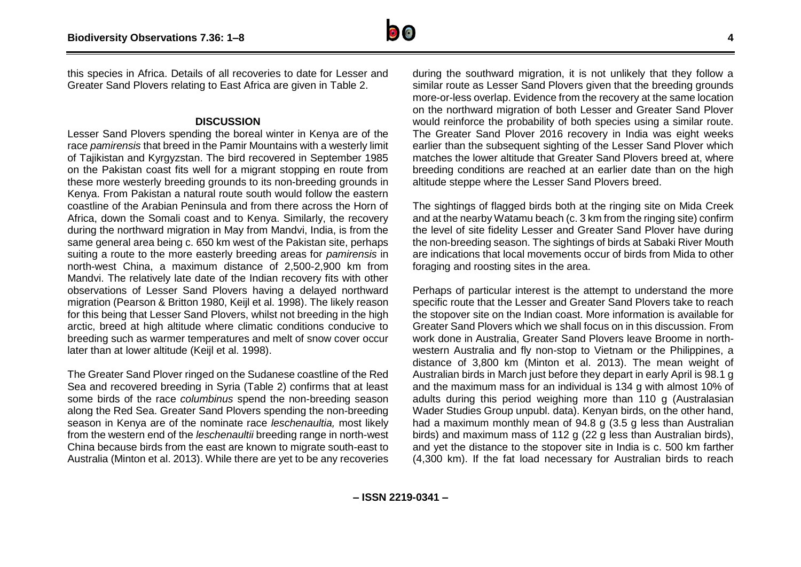

this species in Africa. Details of all recoveries to date for Lesser and Greater Sand Plovers relating to East Africa are given in Table 2.

#### **DISCUSSION**

Lesser Sand Plovers spending the boreal winter in Kenya are of the race *pamirensis* that breed in the Pamir Mountains with a westerly limit of Tajikistan and Kyrgyzstan. The bird recovered in September 1985 on the Pakistan coast fits well for a migrant stopping en route from these more westerly breeding grounds to its non-breeding grounds in Kenya. From Pakistan a natural route south would follow the eastern coastline of the Arabian Peninsula and from there across the Horn of Africa, down the Somali coast and to Kenya. Similarly, the recovery during the northward migration in May from Mandvi, India, is from the same general area being c. 650 km west of the Pakistan site, perhaps suiting a route to the more easterly breeding areas for *pamirensis* in north-west China, a maximum distance of 2,500-2,900 km from Mandvi. The relatively late date of the Indian recovery fits with other observations of Lesser Sand Plovers having a delayed northward migration (Pearson & Britton 1980, Keijl et al. 1998). The likely reason for this being that Lesser Sand Plovers, whilst not breeding in the high arctic, breed at high altitude where climatic conditions conducive to breeding such as warmer temperatures and melt of snow cover occur later than at lower altitude (Keijl et al. 1998).

The Greater Sand Plover ringed on the Sudanese coastline of the Red Sea and recovered breeding in Syria (Table 2) confirms that at least some birds of the race *columbinus* spend the non-breeding season along the Red Sea. Greater Sand Plovers spending the non-breeding season in Kenya are of the nominate race *leschenaultia,* most likely from the western end of the *leschenaultii* breeding range in north-west China because birds from the east are known to migrate south-east to Australia (Minton et al. 2013). While there are yet to be any recoveries

during the southward migration, it is not unlikely that they follow a similar route as Lesser Sand Plovers given that the breeding grounds more-or-less overlap. Evidence from the recovery at the same location on the northward migration of both Lesser and Greater Sand Plover would reinforce the probability of both species using a similar route. The Greater Sand Plover 2016 recovery in India was eight weeks earlier than the subsequent sighting of the Lesser Sand Plover which matches the lower altitude that Greater Sand Plovers breed at, where breeding conditions are reached at an earlier date than on the high altitude steppe where the Lesser Sand Plovers breed.

The sightings of flagged birds both at the ringing site on Mida Creek and at the nearby Watamu beach (c. 3 km from the ringing site) confirm the level of site fidelity Lesser and Greater Sand Plover have during the non-breeding season. The sightings of birds at Sabaki River Mouth are indications that local movements occur of birds from Mida to other foraging and roosting sites in the area.

Perhaps of particular interest is the attempt to understand the more specific route that the Lesser and Greater Sand Plovers take to reach the stopover site on the Indian coast. More information is available for Greater Sand Plovers which we shall focus on in this discussion. From work done in Australia, Greater Sand Plovers leave Broome in northwestern Australia and fly non-stop to Vietnam or the Philippines, a distance of 3,800 km (Minton et al. 2013). The mean weight of Australian birds in March just before they depart in early April is 98.1 g and the maximum mass for an individual is 134 g with almost 10% of adults during this period weighing more than 110 g (Australasian Wader Studies Group unpubl. data). Kenyan birds, on the other hand, had a maximum monthly mean of 94.8 g (3.5 g less than Australian birds) and maximum mass of 112 g (22 g less than Australian birds), and yet the distance to the stopover site in India is c. 500 km farther (4,300 km). If the fat load necessary for Australian birds to reach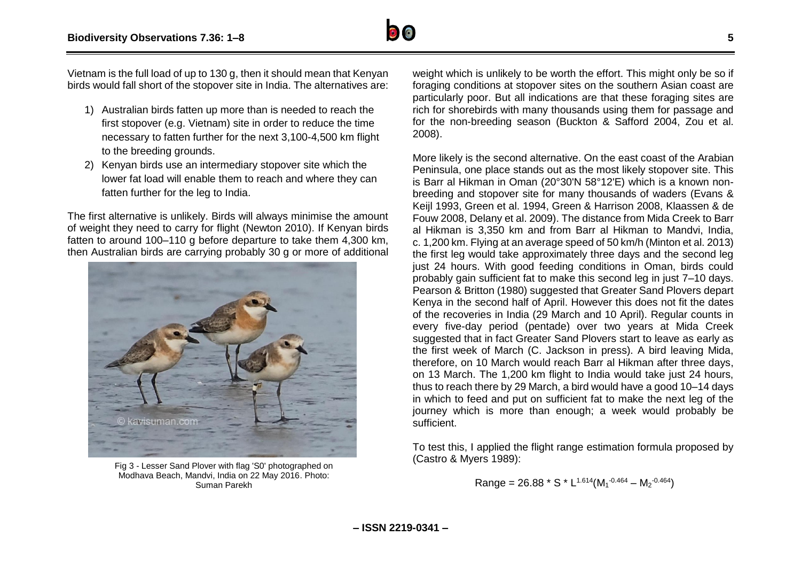

Vietnam is the full load of up to 130 g, then it should mean that Kenyan birds would fall short of the stopover site in India. The alternatives are:

- 1) Australian birds fatten up more than is needed to reach the first stopover (e.g. Vietnam) site in order to reduce the time necessary to fatten further for the next 3,100-4,500 km flight to the breeding grounds.
- 2) Kenyan birds use an intermediary stopover site which the lower fat load will enable them to reach and where they can fatten further for the leg to India.

The first alternative is unlikely. Birds will always minimise the amount of weight they need to carry for flight (Newton 2010). If Kenyan birds fatten to around 100–110 g before departure to take them 4,300 km, then Australian birds are carrying probably 30 g or more of additional



Fig 3 - Lesser Sand Plover with flag 'S0' photographed on Modhava Beach, Mandvi, India on 22 May 2016. Photo: Suman Parekh

weight which is unlikely to be worth the effort. This might only be so if foraging conditions at stopover sites on the southern Asian coast are particularly poor. But all indications are that these foraging sites are rich for shorebirds with many thousands using them for passage and for the non-breeding season (Buckton & Safford 2004, Zou et al. 2008).

More likely is the second alternative. On the east coast of the Arabian Peninsula, one place stands out as the most likely stopover site. This is Barr al Hikman in Oman (20°30'N 58°12'E) which is a known nonbreeding and stopover site for many thousands of waders (Evans & Keijl 1993, Green et al. 1994, Green & Harrison 2008, Klaassen & de Fouw 2008, Delany et al. 2009). The distance from Mida Creek to Barr al Hikman is 3,350 km and from Barr al Hikman to Mandvi, India, c. 1,200 km. Flying at an average speed of 50 km/h (Minton et al. 2013) the first leg would take approximately three days and the second leg just 24 hours. With good feeding conditions in Oman, birds could probably gain sufficient fat to make this second leg in just 7–10 days. Pearson & Britton (1980) suggested that Greater Sand Plovers depart Kenya in the second half of April. However this does not fit the dates of the recoveries in India (29 March and 10 April). Regular counts in every five-day period (pentade) over two years at Mida Creek suggested that in fact Greater Sand Plovers start to leave as early as the first week of March (C. Jackson in press). A bird leaving Mida, therefore, on 10 March would reach Barr al Hikman after three days, on 13 March. The 1,200 km flight to India would take just 24 hours, thus to reach there by 29 March, a bird would have a good 10–14 days in which to feed and put on sufficient fat to make the next leg of the journey which is more than enough; a week would probably be sufficient.

To test this, I applied the flight range estimation formula proposed by (Castro & Myers 1989):

Range = 26.88 \* S \* L1.614(M<sup>1</sup> -0.464 – M<sup>2</sup> -0.464)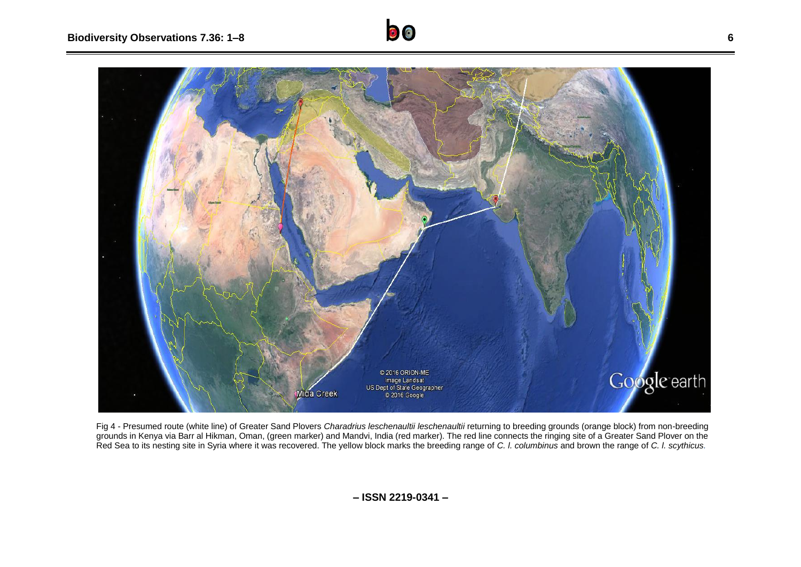

Fig 4 - Presumed route (white line) of Greater Sand Plovers *Charadrius leschenaultii leschenaultii* returning to breeding grounds (orange block) from non-breeding grounds in Kenya via Barr al Hikman, Oman, (green marker) and Mandvi, India (red marker). The red line connects the ringing site of a Greater Sand Plover on the Red Sea to its nesting site in Syria where it was recovered. The yellow block marks the breeding range of *C. l. columbinus* and brown the range of *C. l. scythicus.*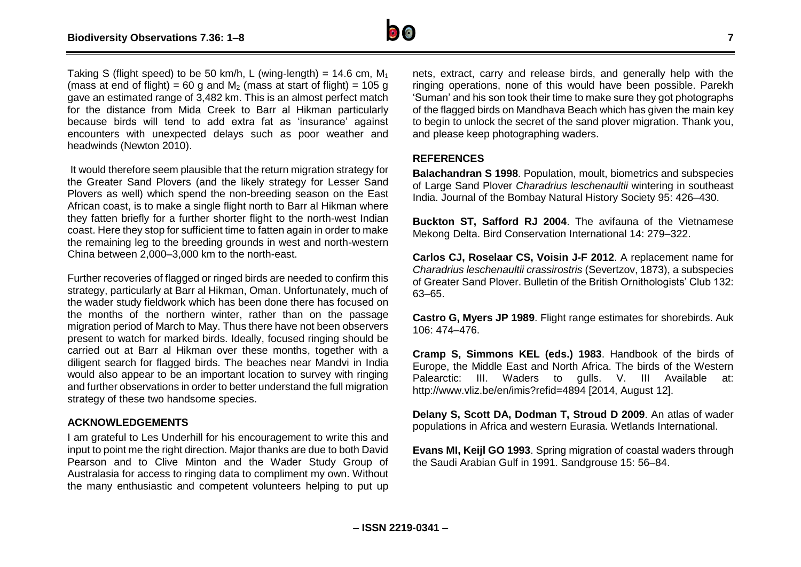

Taking S (flight speed) to be 50 km/h, L (wing-length) = 14.6 cm,  $M_1$ (mass at end of flight) = 60 g and  $M_2$  (mass at start of flight) = 105 g gave an estimated range of 3,482 km. This is an almost perfect match for the distance from Mida Creek to Barr al Hikman particularly because birds will tend to add extra fat as 'insurance' against encounters with unexpected delays such as poor weather and headwinds (Newton 2010).

It would therefore seem plausible that the return migration strategy for the Greater Sand Plovers (and the likely strategy for Lesser Sand Plovers as well) which spend the non-breeding season on the East African coast, is to make a single flight north to Barr al Hikman where they fatten briefly for a further shorter flight to the north-west Indian coast. Here they stop for sufficient time to fatten again in order to make the remaining leg to the breeding grounds in west and north-western China between 2,000–3,000 km to the north-east.

Further recoveries of flagged or ringed birds are needed to confirm this strategy, particularly at Barr al Hikman, Oman. Unfortunately, much of the wader study fieldwork which has been done there has focused on the months of the northern winter, rather than on the passage migration period of March to May. Thus there have not been observers present to watch for marked birds. Ideally, focused ringing should be carried out at Barr al Hikman over these months, together with a diligent search for flagged birds. The beaches near Mandvi in India would also appear to be an important location to survey with ringing and further observations in order to better understand the full migration strategy of these two handsome species.

#### **ACKNOWLEDGEMENTS**

I am grateful to Les Underhill for his encouragement to write this and input to point me the right direction. Major thanks are due to both David Pearson and to Clive Minton and the Wader Study Group of Australasia for access to ringing data to compliment my own. Without the many enthusiastic and competent volunteers helping to put up

nets, extract, carry and release birds, and generally help with the ringing operations, none of this would have been possible. Parekh 'Suman' and his son took their time to make sure they got photographs of the flagged birds on Mandhava Beach which has given the main key to begin to unlock the secret of the sand plover migration. Thank you, and please keep photographing waders.

### **REFERENCES**

**Balachandran S 1998**. Population, moult, biometrics and subspecies of Large Sand Plover *Charadrius leschenaultii* wintering in southeast India. Journal of the Bombay Natural History Society 95: 426–430.

**Buckton ST, Safford RJ 2004**. The avifauna of the Vietnamese Mekong Delta. Bird Conservation International 14: 279–322.

**Carlos CJ, Roselaar CS, Voisin J-F 2012**. A replacement name for *Charadrius leschenaultii crassirostris* (Severtzov, 1873), a subspecies of Greater Sand Plover. Bulletin of the British Ornithologists' Club 132: 63–65.

**Castro G, Myers JP 1989**. Flight range estimates for shorebirds. Auk 106: 474–476.

**Cramp S, Simmons KEL (eds.) 1983**. Handbook of the birds of Europe, the Middle East and North Africa. The birds of the Western Palearctic: III. Waders to gulls. V. III Available at: http://www.vliz.be/en/imis?refid=4894 [2014, August 12].

**Delany S, Scott DA, Dodman T, Stroud D 2009**. An atlas of wader populations in Africa and western Eurasia. Wetlands International.

**Evans MI, Keijl GO 1993**. Spring migration of coastal waders through the Saudi Arabian Gulf in 1991. Sandgrouse 15: 56–84.